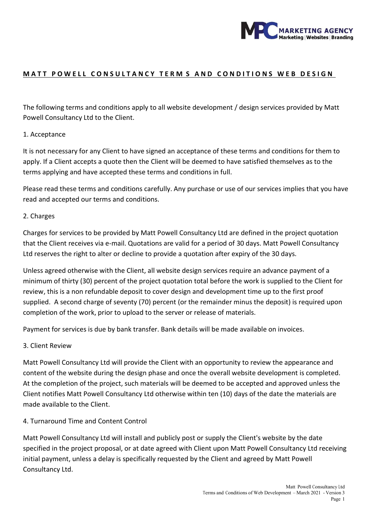

## MATT POWELL CONSULTANCY TERM S AND CONDITIONS WEB DESIGN

The following terms and conditions apply to all website development / design services provided by Matt Powell Consultancy Ltd to the Client.

### 1. Acceptance

It is not necessary for any Client to have signed an acceptance of these terms and conditions for them to apply. If a Client accepts a quote then the Client will be deemed to have satisfied themselves as to the terms applying and have accepted these terms and conditions in full.

Please read these terms and conditions carefully. Any purchase or use of our services implies that you have read and accepted our terms and conditions.

### 2. Charges

Charges for services to be provided by Matt Powell Consultancy Ltd are defined in the project quotation that the Client receives via e-mail. Quotations are valid for a period of 30 days. Matt Powell Consultancy Ltd reserves the right to alter or decline to provide a quotation after expiry of the 30 days.

Unless agreed otherwise with the Client, all website design services require an advance payment of a minimum of thirty (30) percent of the project quotation total before the work is supplied to the Client for review, this is a non refundable deposit to cover design and development time up to the first proof supplied. A second charge of seventy (70) percent (or the remainder minus the deposit) is required upon completion of the work, prior to upload to the server or release of materials.

Payment for services is due by bank transfer. Bank details will be made available on invoices.

#### 3. Client Review

Matt Powell Consultancy Ltd will provide the Client with an opportunity to review the appearance and content of the website during the design phase and once the overall website development is completed. At the completion of the project, such materials will be deemed to be accepted and approved unless the Client notifies Matt Powell Consultancy Ltd otherwise within ten (10) days of the date the materials are made available to the Client.

#### 4. Turnaround Time and Content Control

Matt Powell Consultancy Ltd will install and publicly post or supply the Client's website by the date specified in the project proposal, or at date agreed with Client upon Matt Powell Consultancy Ltd receiving initial payment, unless a delay is specifically requested by the Client and agreed by Matt Powell Consultancy Ltd.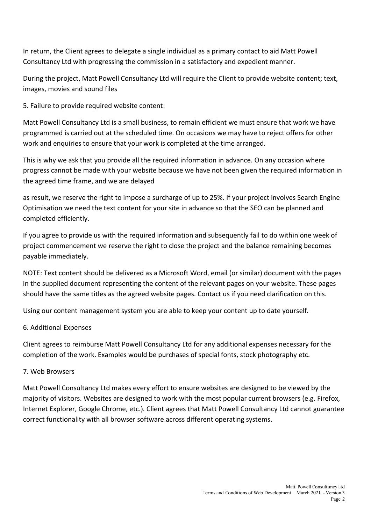In return, the Client agrees to delegate a single individual as a primary contact to aid Matt Powell Consultancy Ltd with progressing the commission in a satisfactory and expedient manner.

During the project, Matt Powell Consultancy Ltd will require the Client to provide website content; text, images, movies and sound files

5. Failure to provide required website content:

Matt Powell Consultancy Ltd is a small business, to remain efficient we must ensure that work we have programmed is carried out at the scheduled time. On occasions we may have to reject offers for other work and enquiries to ensure that your work is completed at the time arranged.

This is why we ask that you provide all the required information in advance. On any occasion where progress cannot be made with your website because we have not been given the required information in the agreed time frame, and we are delayed

as result, we reserve the right to impose a surcharge of up to 25%. If your project involves Search Engine Optimisation we need the text content for your site in advance so that the SEO can be planned and completed efficiently.

If you agree to provide us with the required information and subsequently fail to do within one week of project commencement we reserve the right to close the project and the balance remaining becomes payable immediately.

NOTE: Text content should be delivered as a Microsoft Word, email (or similar) document with the pages in the supplied document representing the content of the relevant pages on your website. These pages should have the same titles as the agreed website pages. Contact us if you need clarification on this.

Using our content management system you are able to keep your content up to date yourself.

# 6. Additional Expenses

Client agrees to reimburse Matt Powell Consultancy Ltd for any additional expenses necessary for the completion of the work. Examples would be purchases of special fonts, stock photography etc.

# 7. Web Browsers

Matt Powell Consultancy Ltd makes every effort to ensure websites are designed to be viewed by the majority of visitors. Websites are designed to work with the most popular current browsers (e.g. Firefox, Internet Explorer, Google Chrome, etc.). Client agrees that Matt Powell Consultancy Ltd cannot guarantee correct functionality with all browser software across different operating systems.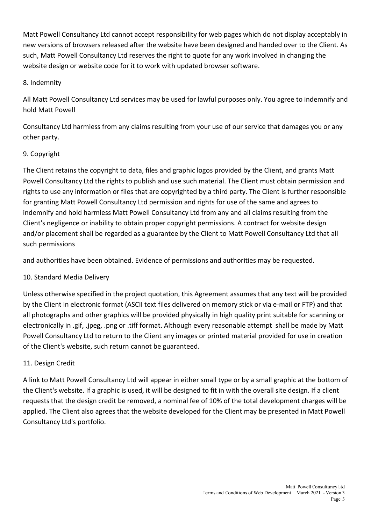Matt Powell Consultancy Ltd cannot accept responsibility for web pages which do not display acceptably in new versions of browsers released after the website have been designed and handed over to the Client. As such, Matt Powell Consultancy Ltd reserves the right to quote for any work involved in changing the website design or website code for it to work with updated browser software.

## 8. Indemnity

All Matt Powell Consultancy Ltd services may be used for lawful purposes only. You agree to indemnify and hold Matt Powell

Consultancy Ltd harmless from any claims resulting from your use of our service that damages you or any other party.

# 9. Copyright

The Client retains the copyright to data, files and graphic logos provided by the Client, and grants Matt Powell Consultancy Ltd the rights to publish and use such material. The Client must obtain permission and rights to use any information or files that are copyrighted by a third party. The Client is further responsible for granting Matt Powell Consultancy Ltd permission and rights for use of the same and agrees to indemnify and hold harmless Matt Powell Consultancy Ltd from any and all claims resulting from the Client's negligence or inability to obtain proper copyright permissions. A contract for website design and/or placement shall be regarded as a guarantee by the Client to Matt Powell Consultancy Ltd that all such permissions

and authorities have been obtained. Evidence of permissions and authorities may be requested.

# 10. Standard Media Delivery

Unless otherwise specified in the project quotation, this Agreement assumes that any text will be provided by the Client in electronic format (ASCII text files delivered on memory stick or via e-mail or FTP) and that all photographs and other graphics will be provided physically in high quality print suitable for scanning or electronically in .gif, .jpeg, .png or .tiff format. Although every reasonable attempt shall be made by Matt Powell Consultancy Ltd to return to the Client any images or printed material provided for use in creation of the Client's website, such return cannot be guaranteed.

# 11. Design Credit

A link to Matt Powell Consultancy Ltd will appear in either small type or by a small graphic at the bottom of the Client's website. If a graphic is used, it will be designed to fit in with the overall site design. If a client requests that the design credit be removed, a nominal fee of 10% of the total development charges will be applied. The Client also agrees that the website developed for the Client may be presented in Matt Powell Consultancy Ltd's portfolio.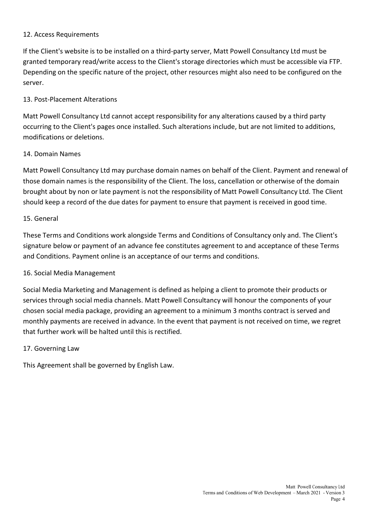### 12. Access Requirements

If the Client's website is to be installed on a third-party server, Matt Powell Consultancy Ltd must be granted temporary read/write access to the Client's storage directories which must be accessible via FTP. Depending on the specific nature of the project, other resources might also need to be configured on the server.

### 13. Post-Placement Alterations

Matt Powell Consultancy Ltd cannot accept responsibility for any alterations caused by a third party occurring to the Client's pages once installed. Such alterations include, but are not limited to additions, modifications or deletions.

### 14. Domain Names

Matt Powell Consultancy Ltd may purchase domain names on behalf of the Client. Payment and renewal of those domain names is the responsibility of the Client. The loss, cancellation or otherwise of the domain brought about by non or late payment is not the responsibility of Matt Powell Consultancy Ltd. The Client should keep a record of the due dates for payment to ensure that payment is received in good time.

#### 15. General

These Terms and Conditions work alongside Terms and Conditions of Consultancy only and. The Client's signature below or payment of an advance fee constitutes agreement to and acceptance of these Terms and Conditions. Payment online is an acceptance of our terms and conditions.

### 16. Social Media Management

Social Media Marketing and Management is defined as helping a client to promote their products or services through social media channels. Matt Powell Consultancy will honour the components of your chosen social media package, providing an agreement to a minimum 3 months contract is served and monthly payments are received in advance. In the event that payment is not received on time, we regret that further work will be halted until this is rectified.

#### 17. Governing Law

This Agreement shall be governed by English Law.